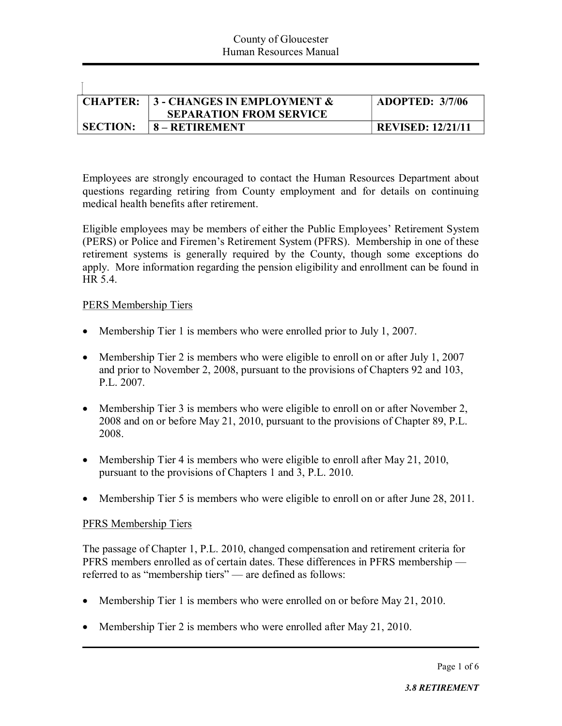| <b>CHAPTER:</b> | $\vert$ 3 - CHANGES IN EMPLOYMENT & | <b>ADOPTED: 3/7/06</b>   |
|-----------------|-------------------------------------|--------------------------|
|                 | <b>SEPARATION FROM SERVICE</b>      |                          |
| <b>SECTION:</b> | 8 – RETIREMENT                      | <b>REVISED: 12/21/11</b> |

Employees are strongly encouraged to contact the Human Resources Department about questions regarding retiring from County employment and for details on continuing medical health benefits after retirement.

Eligible employees may be members of either the Public Employees' Retirement System (PERS) or Police and Firemen's Retirement System (PFRS). Membership in one of these retirement systems is generally required by the County, though some exceptions do apply. More information regarding the pension eligibility and enrollment can be found in HR 5.4.

## PERS Membership Tiers

Ī.

- Membership Tier 1 is members who were enrolled prior to July 1, 2007.
- Membership Tier 2 is members who were eligible to enroll on or after July 1, 2007 and prior to November 2, 2008, pursuant to the provisions of Chapters 92 and 103, P.L. 2007.
- Membership Tier 3 is members who were eligible to enroll on or after November 2, 2008 and on or before May 21, 2010, pursuant to the provisions of Chapter 89, P.L. 2008.
- Membership Tier 4 is members who were eligible to enroll after May 21, 2010, pursuant to the provisions of Chapters 1 and 3, P.L. 2010.
- Membership Tier 5 is members who were eligible to enroll on or after June 28, 2011.

#### PFRS Membership Tiers

The passage of Chapter 1, P.L. 2010, changed compensation and retirement criteria for PFRS members enrolled as of certain dates. These differences in PFRS membership referred to as "membership tiers" — are defined as follows:

- Membership Tier 1 is members who were enrolled on or before May 21, 2010.
- Membership Tier 2 is members who were enrolled after May 21, 2010.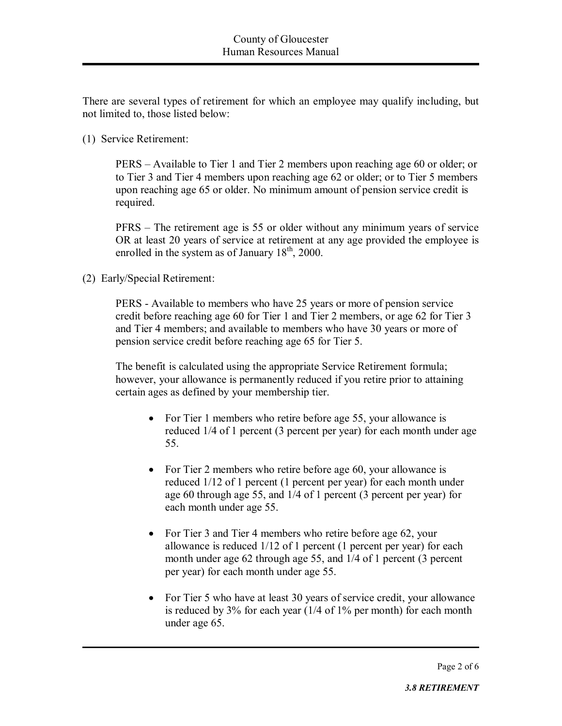There are several types of retirement for which an employee may qualify including, but not limited to, those listed below:

(1) Service Retirement:

PERS – Available to Tier 1 and Tier 2 members upon reaching age 60 or older; or to Tier 3 and Tier 4 members upon reaching age 62 or older; or to Tier 5 members upon reaching age 65 or older. No minimum amount of pension service credit is required.

PFRS – The retirement age is 55 or older without any minimum years of service OR at least 20 years of service at retirement at any age provided the employee is enrolled in the system as of January  $18<sup>th</sup>$ , 2000.

(2) Early/Special Retirement:

PERS - Available to members who have 25 years or more of pension service credit before reaching age 60 for Tier 1 and Tier 2 members, or age 62 for Tier 3 and Tier 4 members; and available to members who have 30 years or more of pension service credit before reaching age 65 for Tier 5.

The benefit is calculated using the appropriate Service Retirement formula; however, your allowance is permanently reduced if you retire prior to attaining certain ages as defined by your membership tier.

- For Tier 1 members who retire before age 55, your allowance is reduced 1/4 of 1 percent (3 percent per year) for each month under age 55.
- For Tier 2 members who retire before age 60, your allowance is reduced 1/12 of 1 percent (1 percent per year) for each month under age 60 through age 55, and 1/4 of 1 percent (3 percent per year) for each month under age 55.
- For Tier 3 and Tier 4 members who retire before age 62, your allowance is reduced 1/12 of 1 percent (1 percent per year) for each month under age 62 through age 55, and  $1/4$  of 1 percent (3 percent per year) for each month under age 55.
- For Tier 5 who have at least 30 years of service credit, your allowance is reduced by 3% for each year (1/4 of 1% per month) for each month under age 65.

Page 2 of 6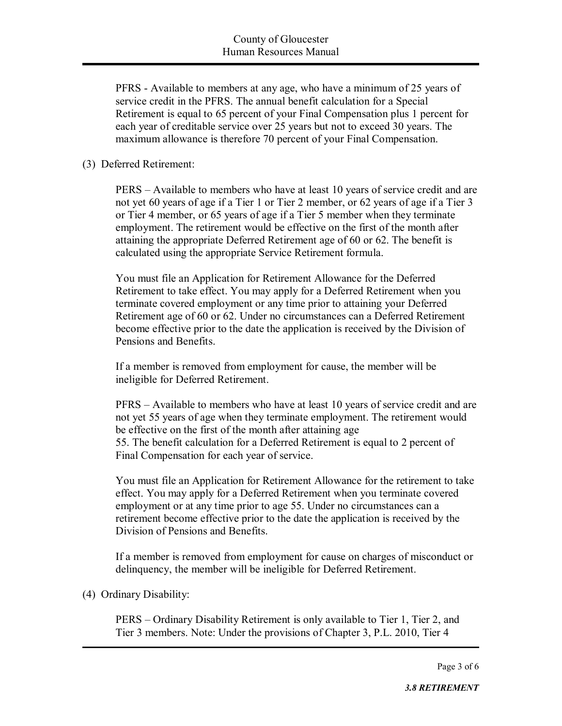PFRS - Available to members at any age, who have a minimum of 25 years of service credit in the PFRS. The annual benefit calculation for a Special Retirement is equal to 65 percent of your Final Compensation plus 1 percent for each year of creditable service over 25 years but not to exceed 30 years. The maximum allowance is therefore 70 percent of your Final Compensation.

## (3) Deferred Retirement:

PERS – Available to members who have at least 10 years of service credit and are not yet 60 years of age if a Tier 1 or Tier 2 member, or 62 years of age if a Tier 3 or Tier 4 member, or 65 years of age if a Tier 5 member when they terminate employment. The retirement would be effective on the first of the month after attaining the appropriate Deferred Retirement age of 60 or 62. The benefit is calculated using the appropriate Service Retirement formula.

You must file an Application for Retirement Allowance for the Deferred Retirement to take effect. You may apply for a Deferred Retirement when you terminate covered employment or any time prior to attaining your Deferred Retirement age of 60 or 62. Under no circumstances can a Deferred Retirement become effective prior to the date the application is received by the Division of Pensions and Benefits.

If a member is removed from employment for cause, the member will be ineligible for Deferred Retirement.

PFRS – Available to members who have at least 10 years of service credit and are not yet 55 years of age when they terminate employment. The retirement would be effective on the first of the month after attaining age 55. The benefit calculation for a Deferred Retirement is equal to 2 percent of Final Compensation for each year of service.

You must file an Application for Retirement Allowance for the retirement to take effect. You may apply for a Deferred Retirement when you terminate covered employment or at any time prior to age 55. Under no circumstances can a retirement become effective prior to the date the application is received by the Division of Pensions and Benefits.

If a member is removed from employment for cause on charges of misconduct or delinquency, the member will be ineligible for Deferred Retirement.

## (4) Ordinary Disability:

PERS – Ordinary Disability Retirement is only available to Tier 1, Tier 2, and Tier 3 members. Note: Under the provisions of Chapter 3, P.L. 2010, Tier 4

Page 3 of 6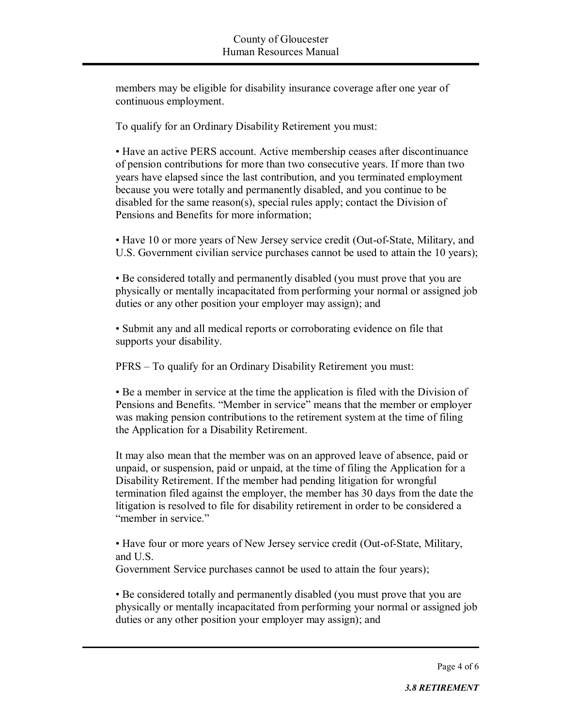members may be eligible for disability insurance coverage after one year of continuous employment.

To qualify for an Ordinary Disability Retirement you must:

• Have an active PERS account. Active membership ceases after discontinuance of pension contributions for more than two consecutive years. If more than two years have elapsed since the last contribution, and you terminated employment because you were totally and permanently disabled, and you continue to be disabled for the same reason(s), special rules apply; contact the Division of Pensions and Benefits for more information;

• Have 10 or more years of New Jersey service credit (Out-of-State, Military, and U.S. Government civilian service purchases cannot be used to attain the 10 years);

• Be considered totally and permanently disabled (you must prove that you are physically or mentally incapacitated from performing your normal or assigned job duties or any other position your employer may assign); and

• Submit any and all medical reports or corroborating evidence on file that supports your disability.

PFRS – To qualify for an Ordinary Disability Retirement you must:

• Be a member in service at the time the application is filed with the Division of Pensions and Benefits. "Member in service" means that the member or employer was making pension contributions to the retirement system at the time of filing the Application for a Disability Retirement.

It may also mean that the member was on an approved leave of absence, paid or unpaid, or suspension, paid or unpaid, at the time of filing the Application for a Disability Retirement. If the member had pending litigation for wrongful termination filed against the employer, the member has 30 days from the date the litigation is resolved to file for disability retirement in order to be considered a "member in service."

• Have four or more years of New Jersey service credit (Out-of-State, Military, and U.S.

Government Service purchases cannot be used to attain the four years);

• Be considered totally and permanently disabled (you must prove that you are physically or mentally incapacitated from performing your normal or assigned job duties or any other position your employer may assign); and

Page 4 of 6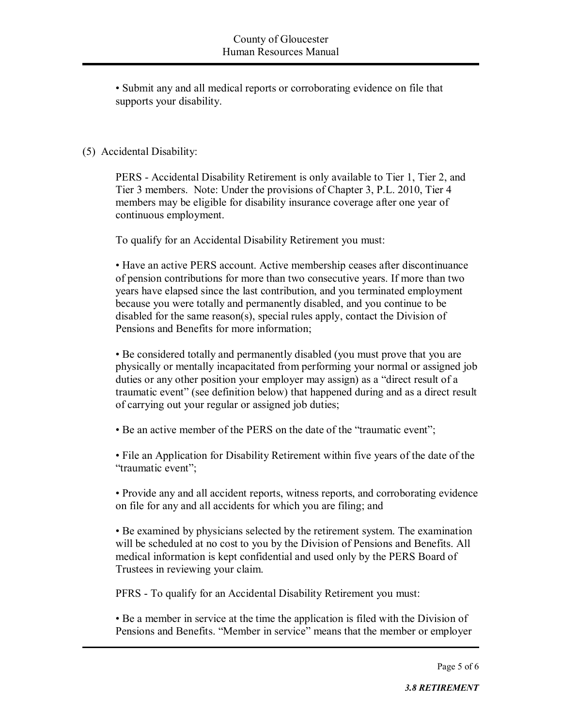• Submit any and all medical reports or corroborating evidence on file that supports your disability.

# (5) Accidental Disability:

PERS - Accidental Disability Retirement is only available to Tier 1, Tier 2, and Tier 3 members. Note: Under the provisions of Chapter 3, P.L. 2010, Tier 4 members may be eligible for disability insurance coverage after one year of continuous employment.

To qualify for an Accidental Disability Retirement you must:

• Have an active PERS account. Active membership ceases after discontinuance of pension contributions for more than two consecutive years. If more than two years have elapsed since the last contribution, and you terminated employment because you were totally and permanently disabled, and you continue to be disabled for the same reason(s), special rules apply, contact the Division of Pensions and Benefits for more information;

• Be considered totally and permanently disabled (you must prove that you are physically or mentally incapacitated from performing your normal or assigned job duties or any other position your employer may assign) as a "direct result of a traumatic event" (see definition below) that happened during and as a direct result of carrying out your regular or assigned job duties;

• Be an active member of the PERS on the date of the "traumatic event";

• File an Application for Disability Retirement within five years of the date of the "traumatic event";

• Provide any and all accident reports, witness reports, and corroborating evidence on file for any and all accidents for which you are filing; and

• Be examined by physicians selected by the retirement system. The examination will be scheduled at no cost to you by the Division of Pensions and Benefits. All medical information is kept confidential and used only by the PERS Board of Trustees in reviewing your claim.

PFRS - To qualify for an Accidental Disability Retirement you must:

• Be a member in service at the time the application is filed with the Division of Pensions and Benefits. "Member in service" means that the member or employer

Page 5 of 6